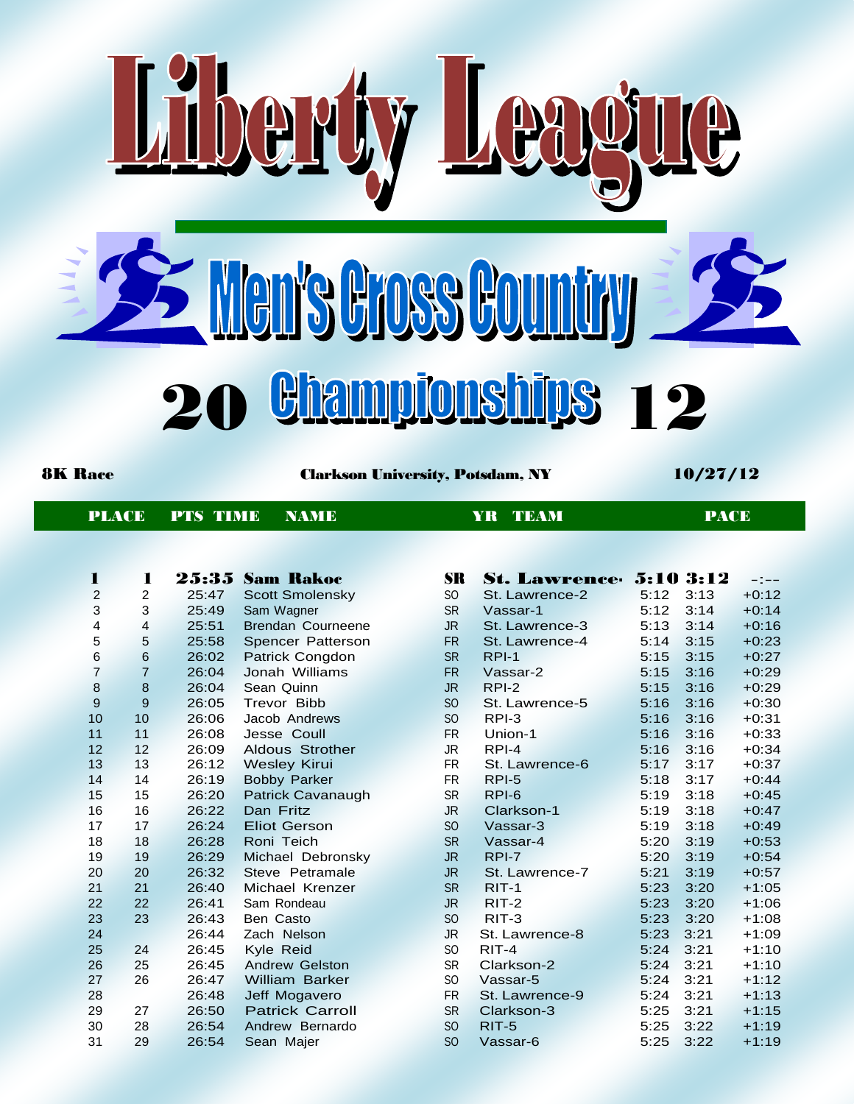

PT

8K Race Clarkson University, Potsdam, NY 10/27/12

| PLACE PTS TIME NAME |  |  | YR TEAM | <b>PACE</b> |
|---------------------|--|--|---------|-------------|
|---------------------|--|--|---------|-------------|

| п              | 1              | 25:35 | - Sam-Rakoc              | <b>SR</b>       | <b>St. Lawrence 5:10 3:12</b> |      |      | $-1$ $-$ |
|----------------|----------------|-------|--------------------------|-----------------|-------------------------------|------|------|----------|
| 2              | 2              | 25:47 | <b>Scott Smolensky</b>   | SO.             | St. Lawrence-2                | 5:12 | 3:13 | $+0:12$  |
| 3              | 3              | 25:49 | Sam Wagner               | <b>SR</b>       | Vassar-1                      | 5:12 | 3:14 | $+0:14$  |
| 4              | 4              | 25:51 | <b>Brendan Courneene</b> | JR.             | St. Lawrence-3                | 5:13 | 3:14 | $+0:16$  |
| 5              | 5              | 25:58 | Spencer Patterson        | <b>FR</b>       | St. Lawrence-4                | 5:14 | 3:15 | $+0:23$  |
| 6              | $6\phantom{a}$ | 26:02 | <b>Patrick Congdon</b>   | <b>SR</b>       | $RPI-1$                       | 5:15 | 3:15 | $+0:27$  |
| $\overline{7}$ | $\overline{7}$ | 26:04 | Jonah Williams           | <b>FR</b>       | Vassar-2                      | 5:15 | 3:16 | $+0:29$  |
| 8              | 8              | 26:04 | Sean Quinn               | <b>JR</b>       | RPI-2                         | 5:15 | 3:16 | $+0:29$  |
| 9              | 9              | 26:05 | Trevor Bibb              | SO <sub>1</sub> | St. Lawrence-5                | 5:16 | 3:16 | $+0:30$  |
| 10             | 10             | 26:06 | Jacob Andrews            | S <sub>O</sub>  | $RPI-3$                       | 5:16 | 3:16 | $+0:31$  |
| 11             | 11             | 26:08 | Jesse Coull              | <b>FR</b>       | Union-1                       | 5:16 | 3:16 | $+0:33$  |
| 12             | 12             | 26:09 | <b>Aldous Strother</b>   | <b>JR</b>       | RPI-4                         | 5:16 | 3:16 | $+0:34$  |
| 13             | 13             | 26:12 | <b>Wesley Kirui</b>      | <b>FR</b>       | St. Lawrence-6                | 5:17 | 3:17 | $+0:37$  |
| 14             | 14             | 26:19 | <b>Bobby Parker</b>      | <b>FR</b>       | $RPI-5$                       | 5:18 | 3:17 | $+0:44$  |
| 15             | 15             | 26:20 | Patrick Cavanaugh        | <b>SR</b>       | RPI-6                         | 5:19 | 3:18 | $+0:45$  |
| 16             | 16             | 26:22 | Dan Fritz                | JR.             | Clarkson-1                    | 5:19 | 3:18 | $+0:47$  |
| 17             | 17             | 26:24 | <b>Eliot Gerson</b>      | <b>SO</b>       | Vassar-3                      | 5:19 | 3:18 | $+0:49$  |
| 18             | 18             | 26:28 | Roni Teich               | <b>SR</b>       | Vassar-4                      | 5:20 | 3:19 | $+0:53$  |
| 19             | 19             | 26:29 | Michael Debronsky        | JR.             | RPI-7                         | 5:20 | 3:19 | $+0:54$  |
| 20             | 20             | 26:32 | Steve Petramale          | JR.             | St. Lawrence-7                | 5:21 | 3:19 | $+0:57$  |
| 21             | 21             | 26:40 | Michael Krenzer          | <b>SR</b>       | $RIT-1$                       | 5:23 | 3:20 | $+1:05$  |
| 22             | 22             | 26:41 | Sam Rondeau              | JR.             | $RIT-2$                       | 5:23 | 3:20 | $+1:06$  |
| 23             | 23             | 26:43 | Ben Casto                | S <sub>O</sub>  | $RIT-3$                       | 5:23 | 3:20 | $+1:08$  |
| 24             |                | 26:44 | Zach Nelson              | JR.             | St. Lawrence-8                | 5:23 | 3:21 | $+1:09$  |
| 25             | 24             | 26:45 | Kyle Reid                | S <sub>O</sub>  | $RIT-4$                       | 5:24 | 3:21 | $+1:10$  |
| 26             | 25             | 26:45 | <b>Andrew Gelston</b>    | <b>SR</b>       | Clarkson-2                    | 5:24 | 3:21 | $+1:10$  |
| 27             | 26             | 26:47 | <b>William Barker</b>    | SO.             | Vassar-5                      | 5:24 | 3:21 | +1:12    |
| 28             |                | 26:48 | Jeff Mogavero            | <b>FR</b>       | St. Lawrence-9                | 5:24 | 3:21 | $+1:13$  |
| 29             | 27             | 26:50 | <b>Patrick Carroll</b>   | <b>SR</b>       | Clarkson-3                    | 5:25 | 3:21 | $+1:15$  |
| 30             | 28             | 26:54 | Andrew Bernardo          | <b>SO</b>       | RIT-5                         | 5:25 | 3:22 | $+1:19$  |
| 31             | 29             | 26:54 | Sean Majer               | <sub>SO</sub>   | Vassar-6                      | 5:25 | 3:22 | $+1:19$  |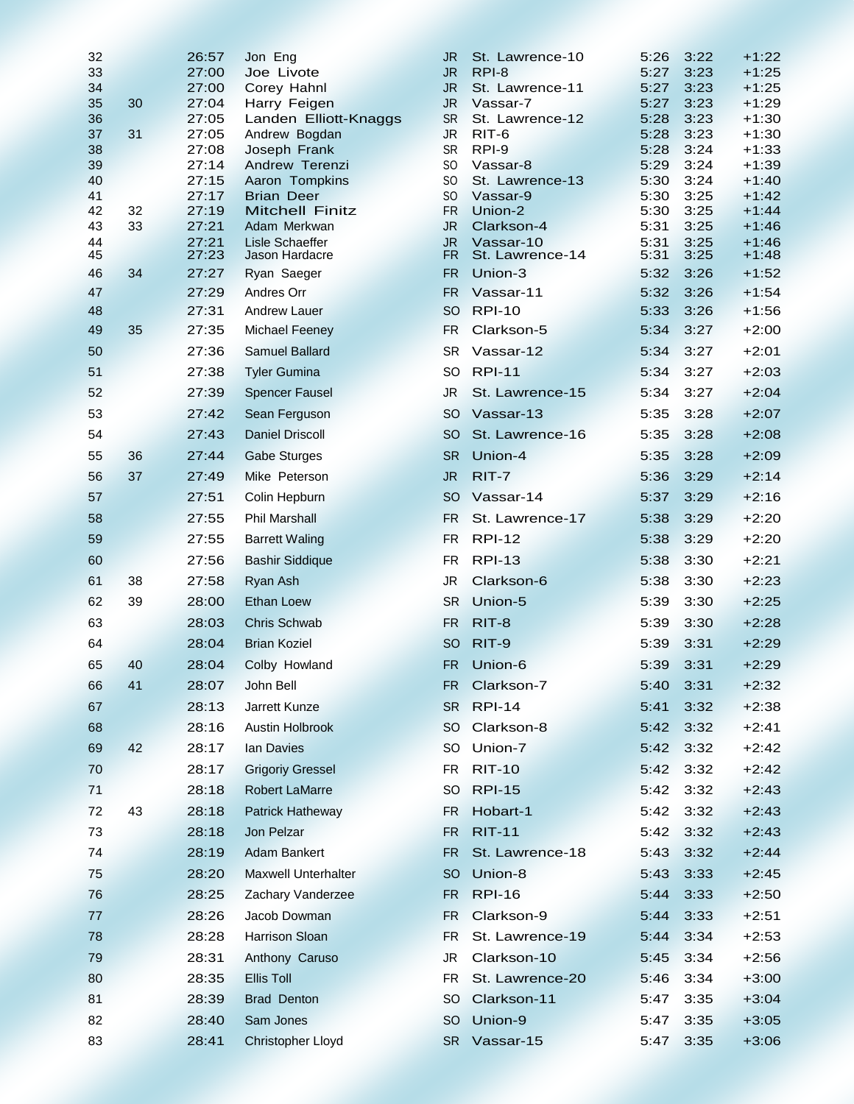| 32       |          | 26:57          | Jon Eng                                | JR                     | St. Lawrence-10          | 5:26         | 3:22         | $+1:22$            |
|----------|----------|----------------|----------------------------------------|------------------------|--------------------------|--------------|--------------|--------------------|
| 33       |          | 27:00          | Joe Livote                             | <b>JR</b>              | RPI-8                    | 5:27         | 3:23         | $+1:25$            |
| 34       |          | 27:00          | Corey Hahnl                            | <b>JR</b>              | St. Lawrence-11          | 5:27         | 3:23         | $+1:25$            |
| 35<br>36 | 30       | 27:04          | Harry Feigen                           | JR.<br><b>SR</b>       | Vassar-7                 | 5:27<br>5:28 | 3:23<br>3:23 | $+1:29$<br>$+1:30$ |
| 37       | 31       | 27:05<br>27:05 | Landen Elliott-Knaggs<br>Andrew Bogdan | <b>JR</b>              | St. Lawrence-12<br>RIT-6 | 5:28         | 3:23         | $+1:30$            |
| 38       |          | 27:08          | Joseph Frank                           | <b>SR</b>              | RPI-9                    | 5:28         | 3:24         | $+1:33$            |
| 39       |          | 27:14          | Andrew Terenzi                         | <b>SO</b>              | Vassar-8                 | 5:29         | 3:24         | $+1:39$            |
| 40       |          | 27:15          | Aaron Tompkins                         | SO.                    | St. Lawrence-13          | 5:30         | 3:24         | $+1:40$            |
| 41       |          | 27:17          | <b>Brian Deer</b>                      | SO                     | Vassar-9                 | 5:30         | 3:25         | $+1:42$            |
| 42<br>43 | 32<br>33 | 27:19<br>27:21 | <b>Mitchell Finitz</b><br>Adam Merkwan | <b>FR</b><br><b>JR</b> | Union-2<br>Clarkson-4    | 5:30<br>5:31 | 3:25<br>3:25 | $+1:44$<br>$+1:46$ |
| 44       |          | 27:21          | <b>Lisle Schaeffer</b>                 | <b>JR</b>              | Vassar-10                | 5:31         | 3:25         | $+1:46$            |
| 45       |          | 27:23          | Jason Hardacre                         | FR.                    | St. Lawrence-14          | 5:31         | 3:25         | $+1:48$            |
| 46       | 34       | 27:27          | Ryan Saeger                            | <b>FR</b>              | Union-3                  | 5:32         | 3:26         | $+1:52$            |
| 47       |          | 27:29          | Andres Orr                             | FR.                    | Vassar-11                | 5:32         | 3:26         | $+1:54$            |
| 48       |          | 27:31          | <b>Andrew Lauer</b>                    | <b>SO</b>              | <b>RPI-10</b>            | 5:33         | 3:26         | $+1:56$            |
| 49       | 35       | 27:35          | <b>Michael Feeney</b>                  | <b>FR</b>              | Clarkson-5               | 5:34         | 3:27         | $+2:00$            |
| 50       |          | 27:36          | Samuel Ballard                         | <b>SR</b>              | Vassar-12                | 5:34         | 3:27         | $+2:01$            |
| 51       |          | 27:38          | <b>Tyler Gumina</b>                    | <b>SO</b>              | <b>RPI-11</b>            | 5:34         | 3:27         | $+2:03$            |
| 52       |          | 27:39          | <b>Spencer Fausel</b>                  | JR.                    | St. Lawrence-15          | 5:34         | 3:27         | $+2:04$            |
| 53       |          | 27:42          | Sean Ferguson                          | <b>SO</b>              | Vassar-13                | 5:35         | 3:28         | $+2:07$            |
| 54       |          | 27:43          | <b>Daniel Driscoll</b>                 | SO.                    | St. Lawrence-16          | 5:35         | 3:28         | $+2:08$            |
| 55       | 36       | 27:44          | <b>Gabe Sturges</b>                    | <b>SR</b>              | Union-4                  | 5:35         | 3:28         | $+2:09$            |
| 56       | 37       | 27:49          | Mike Peterson                          | <b>JR</b>              | $RIT-7$                  | 5:36         | 3:29         | $+2:14$            |
| 57       |          | 27:51          | Colin Hepburn                          | <b>SO</b>              | Vassar-14                | 5:37         | 3:29         | $+2:16$            |
| 58       |          | 27:55          | <b>Phil Marshall</b>                   | FR.                    | St. Lawrence-17          | 5:38         | 3:29         | $+2:20$            |
| 59       |          | 27:55          | <b>Barrett Waling</b>                  | FR.                    | <b>RPI-12</b>            | 5:38         | 3:29         | $+2:20$            |
| 60       |          | 27:56          | <b>Bashir Siddique</b>                 | FR                     | <b>RPI-13</b>            | 5:38         | 3:30         | $+2:21$            |
| 61       | 38       | 27:58          | Ryan Ash                               | JR                     | Clarkson-6               | 5:38         | 3:30         | $+2:23$            |
| 62       | 39       | 28:00          | <b>Ethan Loew</b>                      | <b>SR</b>              | Union-5                  | 5:39         | 3:30         | $+2:25$            |
| 63       |          | 28:03          | <b>Chris Schwab</b>                    | FR.                    | RIT-8                    | 5:39         | 3:30         | $+2:28$            |
| 64       |          | 28:04          | <b>Brian Koziel</b>                    | SO                     | RIT-9                    | 5:39         | 3:31         | $+2:29$            |
| 65       | 40       | 28:04          | Colby Howland                          | <b>FR</b>              | Union-6                  | 5:39         | 3:31         | $+2:29$            |
| 66       | 41       | 28:07          | John Bell                              | FR.                    | Clarkson-7               | 5:40         | 3:31         | $+2:32$            |
| 67       |          | 28:13          | Jarrett Kunze                          | <b>SR</b>              | <b>RPI-14</b>            | 5:41         | 3:32         | $+2:38$            |
| 68       |          | 28:16          | Austin Holbrook                        | <sub>SO</sub>          | Clarkson-8               | 5:42         | 3:32         | $+2:41$            |
| 69       | 42       | 28:17          | lan Davies                             | <b>SO</b>              | Union-7                  | 5:42         | 3:32         | $+2:42$            |
| 70       |          | 28:17          | <b>Grigoriy Gressel</b>                | FR.                    | <b>RIT-10</b>            | 5:42         | 3:32         | $+2:42$            |
| 71       |          | 28:18          | <b>Robert LaMarre</b>                  | SO.                    | <b>RPI-15</b>            | 5:42         | 3:32         | $+2:43$            |
| 72       | 43       | 28:18          | Patrick Hatheway                       | FR.                    | Hobart-1                 | 5:42         | 3:32         | $+2:43$            |
| 73       |          | 28:18          | Jon Pelzar                             | <b>FR</b>              | <b>RIT-11</b>            | 5:42         | 3:32         | $+2:43$            |
| 74       |          | 28:19          | <b>Adam Bankert</b>                    | FR.                    | St. Lawrence-18          | 5:43         | 3:32         | $+2:44$            |
| 75       |          | 28:20          | <b>Maxwell Unterhalter</b>             | <sub>SO</sub>          | Union-8                  | 5:43         | 3:33         | $+2:45$            |
| 76       |          | 28:25          | Zachary Vanderzee                      | FR.                    | <b>RPI-16</b>            | 5:44         | 3:33         | $+2:50$            |
| 77       |          | 28:26          | Jacob Dowman                           | FR.                    | Clarkson-9               | 5:44         | 3:33         | $+2:51$            |
| 78       |          | 28:28          | Harrison Sloan                         | FR.                    | St. Lawrence-19          | 5:44         | 3:34         | $+2:53$            |
| 79       |          | 28:31          | Anthony Caruso                         | JR                     | Clarkson-10              | 5:45         | 3:34         | $+2:56$            |
| 80       |          | 28:35          | Ellis Toll                             | FR.                    | St. Lawrence-20          | 5:46         | 3:34         | $+3:00$            |
| 81       |          | 28:39          | <b>Brad Denton</b>                     | SO.                    | Clarkson-11              | 5:47         | 3:35         | $+3:04$            |
| 82       |          | 28:40          | Sam Jones                              | SO.                    | Union-9                  | 5:47         | 3:35         | $+3:05$            |
| 83       |          | 28:41          | <b>Christopher Lloyd</b>               | <b>SR</b>              | Vassar-15                | 5:47         | 3:35         | $+3:06$            |
|          |          |                |                                        |                        |                          |              |              |                    |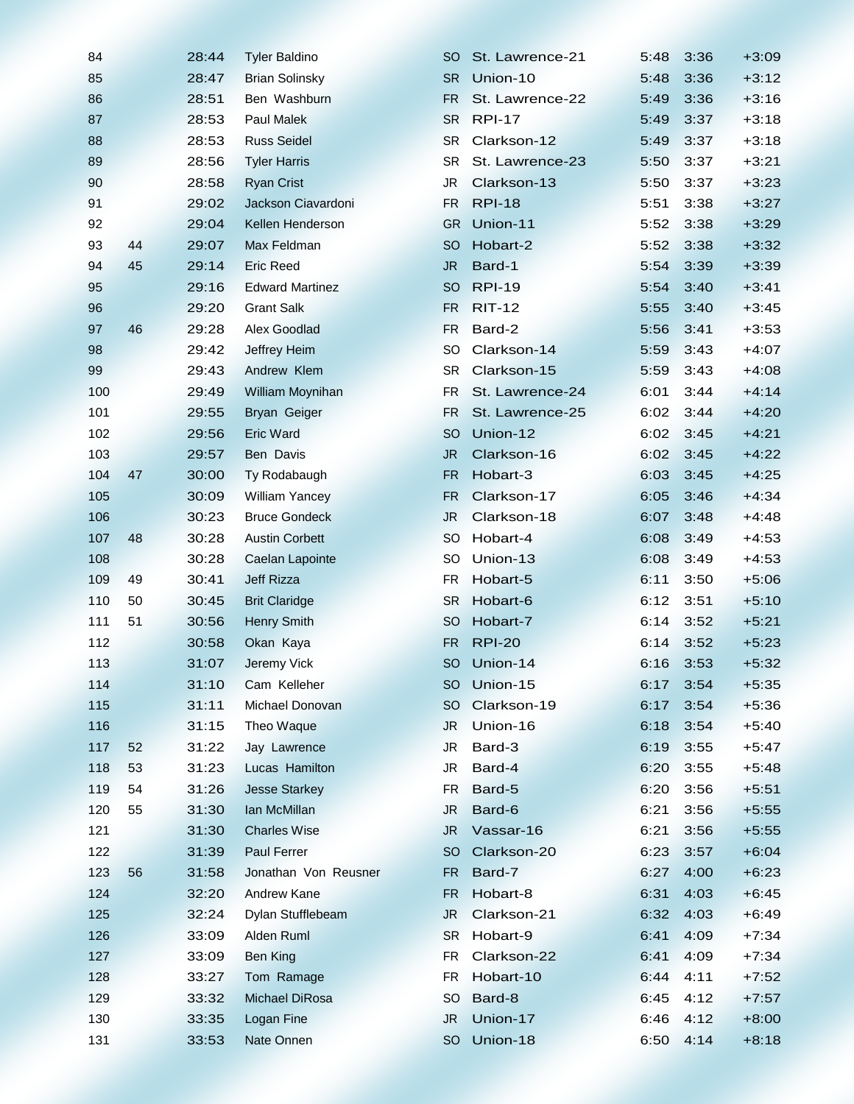| 84  |    | 28:44 | <b>Tyler Baldino</b>   | SO            | St. Lawrence-21 | 5:48 | 3:36 | $+3:09$ |
|-----|----|-------|------------------------|---------------|-----------------|------|------|---------|
| 85  |    | 28:47 | <b>Brian Solinsky</b>  | <b>SR</b>     | Union-10        | 5:48 | 3:36 | $+3:12$ |
| 86  |    | 28:51 | Ben Washburn           | <b>FR</b>     | St. Lawrence-22 | 5:49 | 3:36 | $+3:16$ |
| 87  |    | 28:53 | <b>Paul Malek</b>      | <b>SR</b>     | <b>RPI-17</b>   | 5:49 | 3:37 | $+3:18$ |
| 88  |    | 28:53 | <b>Russ Seidel</b>     | <b>SR</b>     | Clarkson-12     | 5:49 | 3:37 | $+3:18$ |
| 89  |    | 28:56 | <b>Tyler Harris</b>    | <b>SR</b>     | St. Lawrence-23 | 5:50 | 3:37 | $+3:21$ |
| 90  |    | 28:58 | <b>Ryan Crist</b>      | JR            | Clarkson-13     | 5:50 | 3:37 | $+3:23$ |
| 91  |    | 29:02 | Jackson Ciavardoni     | FR            | <b>RPI-18</b>   | 5:51 | 3:38 | $+3:27$ |
| 92  |    | 29:04 | Kellen Henderson       | <b>GR</b>     | Union-11        | 5:52 | 3:38 | $+3:29$ |
| 93  | 44 | 29:07 | Max Feldman            | <sub>SO</sub> | Hobart-2        | 5:52 | 3:38 | $+3:32$ |
| 94  | 45 | 29:14 | <b>Eric Reed</b>       | <b>JR</b>     | Bard-1          | 5:54 | 3:39 | $+3:39$ |
| 95  |    | 29:16 | <b>Edward Martinez</b> | <sub>SO</sub> | <b>RPI-19</b>   | 5:54 | 3:40 | $+3:41$ |
| 96  |    | 29:20 | <b>Grant Salk</b>      | FR.           | <b>RIT-12</b>   | 5:55 | 3:40 | $+3:45$ |
| 97  | 46 | 29:28 | Alex Goodlad           | <b>FR</b>     | Bard-2          | 5:56 | 3:41 | $+3:53$ |
| 98  |    | 29:42 | Jeffrey Heim           | <b>SO</b>     | Clarkson-14     | 5:59 | 3:43 | $+4:07$ |
| 99  |    | 29:43 | Andrew Klem            | <b>SR</b>     | Clarkson-15     | 5:59 | 3:43 | $+4:08$ |
| 100 |    | 29:49 | William Moynihan       | FR.           | St. Lawrence-24 | 6:01 | 3:44 | $+4:14$ |
| 101 |    | 29:55 | Bryan Geiger           | <b>FR</b>     | St. Lawrence-25 | 6:02 | 3:44 | $+4:20$ |
| 102 |    | 29:56 | <b>Eric Ward</b>       | <b>SO</b>     | Union-12        | 6:02 | 3:45 | $+4:21$ |
| 103 |    | 29:57 | Ben Davis              | <b>JR</b>     | Clarkson-16     | 6:02 | 3:45 | $+4:22$ |
| 104 | 47 | 30:00 | Ty Rodabaugh           | <b>FR</b>     | Hobart-3        | 6:03 | 3:45 | $+4:25$ |
| 105 |    | 30:09 | <b>William Yancey</b>  | <b>FR</b>     | Clarkson-17     | 6:05 | 3:46 | $+4:34$ |
| 106 |    | 30:23 | <b>Bruce Gondeck</b>   | <b>JR</b>     | Clarkson-18     | 6:07 | 3:48 | $+4:48$ |
|     | 48 | 30:28 | <b>Austin Corbett</b>  | <sub>SO</sub> | Hobart-4        |      | 3:49 |         |
| 107 |    |       |                        |               |                 | 6:08 |      | $+4:53$ |
| 108 |    | 30:28 | Caelan Lapointe        | SO            | Union-13        | 6:08 | 3:49 | $+4:53$ |
| 109 | 49 | 30:41 | <b>Jeff Rizza</b>      | FR            | Hobart-5        | 6:11 | 3:50 | $+5:06$ |
| 110 | 50 | 30:45 | <b>Brit Claridge</b>   | <b>SR</b>     | Hobart-6        | 6:12 | 3:51 | $+5:10$ |
| 111 | 51 | 30:56 | <b>Henry Smith</b>     | <sub>SO</sub> | Hobart-7        | 6:14 | 3:52 | $+5:21$ |
| 112 |    | 30:58 | Okan Kaya              | <b>FR</b>     | <b>RPI-20</b>   | 6:14 | 3:52 | $+5:23$ |
| 113 |    | 31:07 | Jeremy Vick            | <b>SO</b>     | Union-14        | 6:16 | 3:53 | $+5:32$ |
| 114 |    | 31:10 | Cam Kelleher           | SO            | Union-15        | 6:17 | 3:54 | $+5:35$ |
| 115 |    | 31:11 | Michael Donovan        | SO.           | Clarkson-19     | 6:17 | 3:54 | $+5:36$ |
| 116 |    | 31:15 | Theo Waque             | <b>JR</b>     | Union-16        | 6:18 | 3:54 | $+5:40$ |
| 117 | 52 | 31:22 | Jay Lawrence           | JR.           | Bard-3          | 6:19 | 3:55 | $+5:47$ |
| 118 | 53 | 31:23 | Lucas Hamilton         | JR            | Bard-4          | 6:20 | 3:55 | $+5:48$ |
| 119 | 54 | 31:26 | <b>Jesse Starkey</b>   | FR            | Bard-5          | 6:20 | 3:56 | $+5:51$ |
| 120 | 55 | 31:30 | Ian McMillan           | JR            | Bard-6          | 6:21 | 3:56 | $+5:55$ |
| 121 |    | 31:30 | <b>Charles Wise</b>    | JR.           | Vassar-16       | 6:21 | 3:56 | $+5:55$ |
| 122 |    | 31:39 | Paul Ferrer            | <sub>SO</sub> | Clarkson-20     | 6:23 | 3:57 | $+6:04$ |
| 123 | 56 | 31:58 | Jonathan Von Reusner   | FR.           | Bard-7          | 6:27 | 4:00 | $+6:23$ |
| 124 |    | 32:20 | Andrew Kane            | <b>FR</b>     | Hobart-8        | 6:31 | 4:03 | $+6:45$ |
| 125 |    | 32:24 | Dylan Stufflebeam      | <b>JR</b>     | Clarkson-21     | 6:32 | 4:03 | $+6:49$ |
| 126 |    | 33:09 | Alden Ruml             | <b>SR</b>     | Hobart-9        | 6:41 | 4:09 | $+7:34$ |
| 127 |    | 33:09 | <b>Ben King</b>        | <b>FR</b>     | Clarkson-22     | 6:41 | 4:09 | $+7:34$ |
| 128 |    | 33:27 | Tom Ramage             | FR.           | Hobart-10       | 6:44 | 4:11 | $+7:52$ |
| 129 |    | 33:32 | Michael DiRosa         | SO            | Bard-8          | 6:45 | 4:12 | $+7:57$ |
| 130 |    | 33:35 | Logan Fine             | JR            | Union-17        | 6:46 | 4:12 | $+8:00$ |
| 131 |    | 33:53 | Nate Onnen             | <sub>SO</sub> | Union-18        | 6:50 | 4:14 | $+8:18$ |